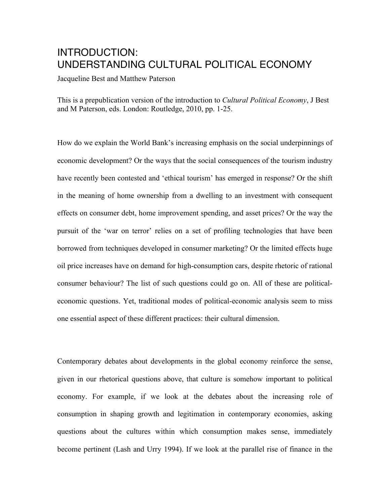# INTRODUCTION: UNDERSTANDING CULTURAL POLITICAL ECONOMY

Jacqueline Best and Matthew Paterson

This is a prepublication version of the introduction to *Cultural Political Economy*, J Best and M Paterson, eds. London: Routledge, 2010, pp. 1-25.

How do we explain the World Bank's increasing emphasis on the social underpinnings of economic development? Or the ways that the social consequences of the tourism industry have recently been contested and 'ethical tourism' has emerged in response? Or the shift in the meaning of home ownership from a dwelling to an investment with consequent effects on consumer debt, home improvement spending, and asset prices? Or the way the pursuit of the 'war on terror' relies on a set of profiling technologies that have been borrowed from techniques developed in consumer marketing? Or the limited effects huge oil price increases have on demand for high-consumption cars, despite rhetoric of rational consumer behaviour? The list of such questions could go on. All of these are politicaleconomic questions. Yet, traditional modes of political-economic analysis seem to miss one essential aspect of these different practices: their cultural dimension.

Contemporary debates about developments in the global economy reinforce the sense, given in our rhetorical questions above, that culture is somehow important to political economy. For example, if we look at the debates about the increasing role of consumption in shaping growth and legitimation in contemporary economies, asking questions about the cultures within which consumption makes sense, immediately become pertinent (Lash and Urry 1994). If we look at the parallel rise of finance in the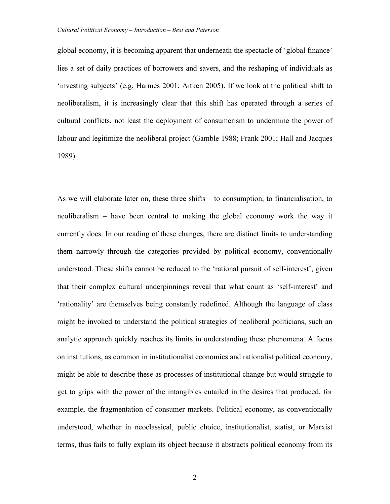global economy, it is becoming apparent that underneath the spectacle of 'global finance' lies a set of daily practices of borrowers and savers, and the reshaping of individuals as 'investing subjects' (e.g. Harmes 2001; Aitken 2005). If we look at the political shift to neoliberalism, it is increasingly clear that this shift has operated through a series of cultural conflicts, not least the deployment of consumerism to undermine the power of labour and legitimize the neoliberal project (Gamble 1988; Frank 2001; Hall and Jacques 1989).

As we will elaborate later on, these three shifts – to consumption, to financialisation, to neoliberalism – have been central to making the global economy work the way it currently does. In our reading of these changes, there are distinct limits to understanding them narrowly through the categories provided by political economy, conventionally understood. These shifts cannot be reduced to the 'rational pursuit of self-interest', given that their complex cultural underpinnings reveal that what count as 'self-interest' and 'rationality' are themselves being constantly redefined. Although the language of class might be invoked to understand the political strategies of neoliberal politicians, such an analytic approach quickly reaches its limits in understanding these phenomena. A focus on institutions, as common in institutionalist economics and rationalist political economy, might be able to describe these as processes of institutional change but would struggle to get to grips with the power of the intangibles entailed in the desires that produced, for example, the fragmentation of consumer markets. Political economy, as conventionally understood, whether in neoclassical, public choice, institutionalist, statist, or Marxist terms, thus fails to fully explain its object because it abstracts political economy from its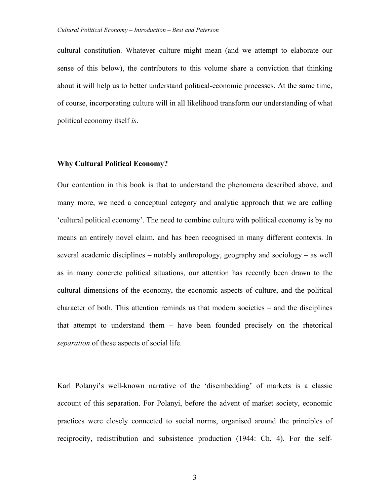cultural constitution. Whatever culture might mean (and we attempt to elaborate our sense of this below), the contributors to this volume share a conviction that thinking about it will help us to better understand political-economic processes. At the same time, of course, incorporating culture will in all likelihood transform our understanding of what political economy itself *is*.

### **Why Cultural Political Economy?**

Our contention in this book is that to understand the phenomena described above, and many more, we need a conceptual category and analytic approach that we are calling 'cultural political economy'. The need to combine culture with political economy is by no means an entirely novel claim, and has been recognised in many different contexts. In several academic disciplines – notably anthropology, geography and sociology – as well as in many concrete political situations, our attention has recently been drawn to the cultural dimensions of the economy, the economic aspects of culture, and the political character of both. This attention reminds us that modern societies – and the disciplines that attempt to understand them – have been founded precisely on the rhetorical *separation* of these aspects of social life.

Karl Polanyi's well-known narrative of the 'disembedding' of markets is a classic account of this separation. For Polanyi, before the advent of market society, economic practices were closely connected to social norms, organised around the principles of reciprocity, redistribution and subsistence production (1944: Ch. 4). For the self-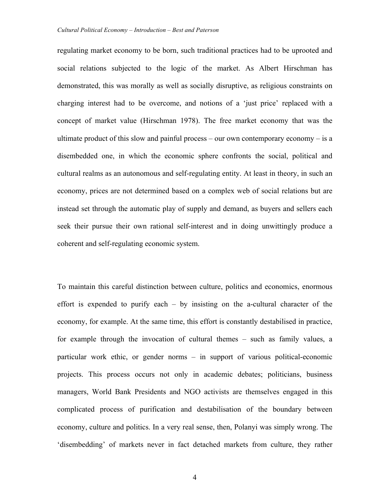regulating market economy to be born, such traditional practices had to be uprooted and social relations subjected to the logic of the market. As Albert Hirschman has demonstrated, this was morally as well as socially disruptive, as religious constraints on charging interest had to be overcome, and notions of a 'just price' replaced with a concept of market value (Hirschman 1978). The free market economy that was the ultimate product of this slow and painful process – our own contemporary economy – is a disembedded one, in which the economic sphere confronts the social, political and cultural realms as an autonomous and self-regulating entity. At least in theory, in such an economy, prices are not determined based on a complex web of social relations but are instead set through the automatic play of supply and demand, as buyers and sellers each seek their pursue their own rational self-interest and in doing unwittingly produce a coherent and self-regulating economic system.

To maintain this careful distinction between culture, politics and economics, enormous effort is expended to purify each – by insisting on the a-cultural character of the economy, for example. At the same time, this effort is constantly destabilised in practice, for example through the invocation of cultural themes – such as family values, a particular work ethic, or gender norms – in support of various political-economic projects. This process occurs not only in academic debates; politicians, business managers, World Bank Presidents and NGO activists are themselves engaged in this complicated process of purification and destabilisation of the boundary between economy, culture and politics. In a very real sense, then, Polanyi was simply wrong. The 'disembedding' of markets never in fact detached markets from culture, they rather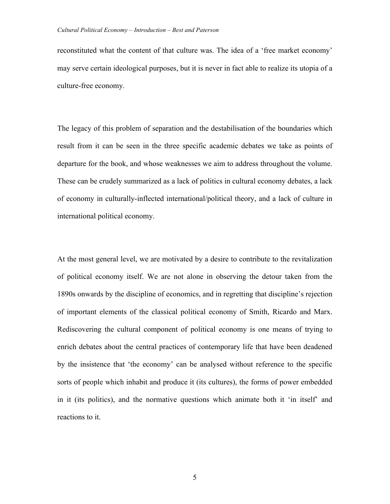reconstituted what the content of that culture was. The idea of a 'free market economy' may serve certain ideological purposes, but it is never in fact able to realize its utopia of a culture-free economy.

The legacy of this problem of separation and the destabilisation of the boundaries which result from it can be seen in the three specific academic debates we take as points of departure for the book, and whose weaknesses we aim to address throughout the volume. These can be crudely summarized as a lack of politics in cultural economy debates, a lack of economy in culturally-inflected international/political theory, and a lack of culture in international political economy.

At the most general level, we are motivated by a desire to contribute to the revitalization of political economy itself. We are not alone in observing the detour taken from the 1890s onwards by the discipline of economics, and in regretting that discipline's rejection of important elements of the classical political economy of Smith, Ricardo and Marx. Rediscovering the cultural component of political economy is one means of trying to enrich debates about the central practices of contemporary life that have been deadened by the insistence that 'the economy' can be analysed without reference to the specific sorts of people which inhabit and produce it (its cultures), the forms of power embedded in it (its politics), and the normative questions which animate both it 'in itself' and reactions to it.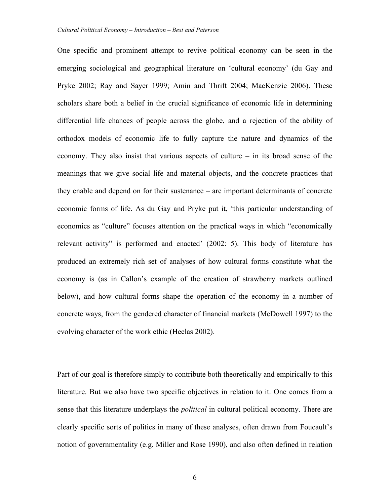One specific and prominent attempt to revive political economy can be seen in the emerging sociological and geographical literature on 'cultural economy' (du Gay and Pryke 2002; Ray and Sayer 1999; Amin and Thrift 2004; MacKenzie 2006). These scholars share both a belief in the crucial significance of economic life in determining differential life chances of people across the globe, and a rejection of the ability of orthodox models of economic life to fully capture the nature and dynamics of the economy. They also insist that various aspects of culture – in its broad sense of the meanings that we give social life and material objects, and the concrete practices that they enable and depend on for their sustenance – are important determinants of concrete economic forms of life. As du Gay and Pryke put it, 'this particular understanding of economics as "culture" focuses attention on the practical ways in which "economically relevant activity" is performed and enacted' (2002: 5). This body of literature has produced an extremely rich set of analyses of how cultural forms constitute what the economy is (as in Callon's example of the creation of strawberry markets outlined below), and how cultural forms shape the operation of the economy in a number of concrete ways, from the gendered character of financial markets (McDowell 1997) to the evolving character of the work ethic (Heelas 2002).

Part of our goal is therefore simply to contribute both theoretically and empirically to this literature. But we also have two specific objectives in relation to it. One comes from a sense that this literature underplays the *political* in cultural political economy. There are clearly specific sorts of politics in many of these analyses, often drawn from Foucault's notion of governmentality (e.g. Miller and Rose 1990), and also often defined in relation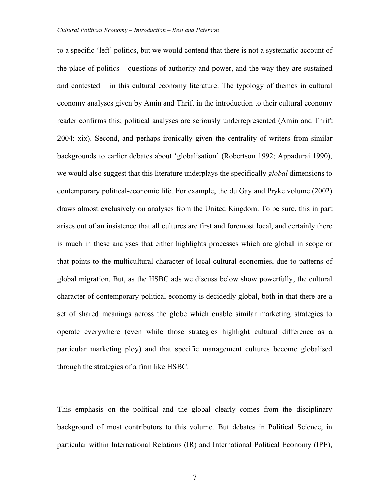to a specific 'left' politics, but we would contend that there is not a systematic account of the place of politics – questions of authority and power, and the way they are sustained and contested – in this cultural economy literature. The typology of themes in cultural economy analyses given by Amin and Thrift in the introduction to their cultural economy reader confirms this; political analyses are seriously underrepresented (Amin and Thrift 2004: xix). Second, and perhaps ironically given the centrality of writers from similar backgrounds to earlier debates about 'globalisation' (Robertson 1992; Appadurai 1990), we would also suggest that this literature underplays the specifically *global* dimensions to contemporary political-economic life. For example, the du Gay and Pryke volume (2002) draws almost exclusively on analyses from the United Kingdom. To be sure, this in part arises out of an insistence that all cultures are first and foremost local, and certainly there is much in these analyses that either highlights processes which are global in scope or that points to the multicultural character of local cultural economies, due to patterns of global migration. But, as the HSBC ads we discuss below show powerfully, the cultural character of contemporary political economy is decidedly global, both in that there are a set of shared meanings across the globe which enable similar marketing strategies to operate everywhere (even while those strategies highlight cultural difference as a particular marketing ploy) and that specific management cultures become globalised through the strategies of a firm like HSBC.

This emphasis on the political and the global clearly comes from the disciplinary background of most contributors to this volume. But debates in Political Science, in particular within International Relations (IR) and International Political Economy (IPE),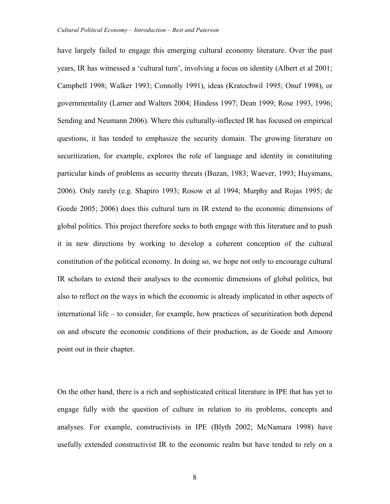have largely failed to engage this emerging cultural economy literature. Over the past years, IR has witnessed a 'cultural turn', involving a focus on identity (Albert et al 2001; Campbell 1998; Walker 1993; Connolly 1991), ideas (Kratochwil 1995; Onuf 1998), or governmentality (Larner and Walters 2004; Hindess 1997; Dean 1999; Rose 1993, 1996; Sending and Neumann 2006). Where this culturally-inflected IR has focused on empirical questions, it has tended to emphasize the security domain. The growing literature on securitization, for example, explores the role of language and identity in constituting particular kinds of problems as security threats (Buzan, 1983; Waever, 1993; Huysmans, 2006). Only rarely (e.g. Shapiro 1993; Rosow et al 1994; Murphy and Rojas 1995; de Goede 2005; 2006) does this cultural turn in IR extend to the economic dimensions of global politics. This project therefore seeks to both engage with this literature and to push it in new directions by working to develop a coherent conception of the cultural constitution of the political economy. In doing so, we hope not only to encourage cultural IR scholars to extend their analyses to the economic dimensions of global politics, but also to reflect on the ways in which the economic is already implicated in other aspects of international life – to consider, for example, how practices of securitization both depend on and obscure the economic conditions of their production, as de Goede and Amoore point out in their chapter.

On the other hand, there is a rich and sophisticated critical literature in IPE that has yet to engage fully with the question of culture in relation to its problems, concepts and analyses. For example, constructivists in IPE (Blyth 2002; McNamara 1998) have usefully extended constructivist IR to the economic realm but have tended to rely on a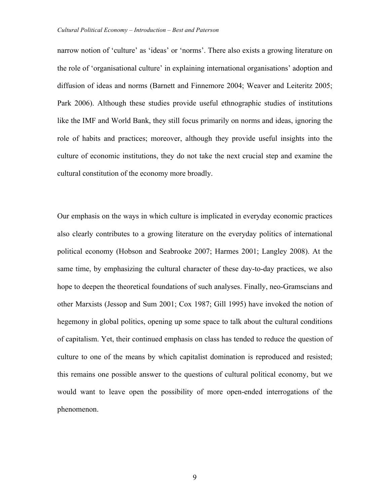narrow notion of 'culture' as 'ideas' or 'norms'. There also exists a growing literature on the role of 'organisational culture' in explaining international organisations' adoption and diffusion of ideas and norms (Barnett and Finnemore 2004; Weaver and Leiteritz 2005; Park 2006). Although these studies provide useful ethnographic studies of institutions like the IMF and World Bank, they still focus primarily on norms and ideas, ignoring the role of habits and practices; moreover, although they provide useful insights into the culture of economic institutions, they do not take the next crucial step and examine the cultural constitution of the economy more broadly.

Our emphasis on the ways in which culture is implicated in everyday economic practices also clearly contributes to a growing literature on the everyday politics of international political economy (Hobson and Seabrooke 2007; Harmes 2001; Langley 2008). At the same time, by emphasizing the cultural character of these day-to-day practices, we also hope to deepen the theoretical foundations of such analyses. Finally, neo-Gramscians and other Marxists (Jessop and Sum 2001; Cox 1987; Gill 1995) have invoked the notion of hegemony in global politics, opening up some space to talk about the cultural conditions of capitalism. Yet, their continued emphasis on class has tended to reduce the question of culture to one of the means by which capitalist domination is reproduced and resisted; this remains one possible answer to the questions of cultural political economy, but we would want to leave open the possibility of more open-ended interrogations of the phenomenon.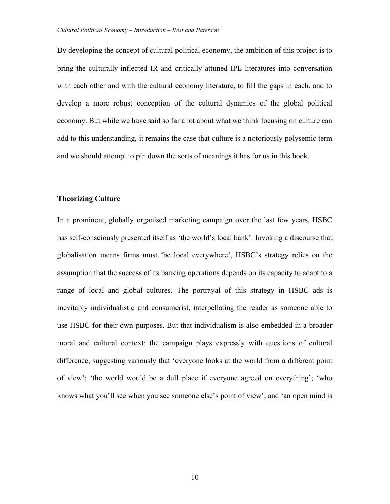By developing the concept of cultural political economy, the ambition of this project is to bring the culturally-inflected IR and critically attuned IPE literatures into conversation with each other and with the cultural economy literature, to fill the gaps in each, and to develop a more robust conception of the cultural dynamics of the global political economy. But while we have said so far a lot about what we think focusing on culture can add to this understanding, it remains the case that culture is a notoriously polysemic term and we should attempt to pin down the sorts of meanings it has for us in this book.

### **Theorizing Culture**

In a prominent, globally organised marketing campaign over the last few years, HSBC has self-consciously presented itself as 'the world's local bank'. Invoking a discourse that globalisation means firms must 'be local everywhere', HSBC's strategy relies on the assumption that the success of its banking operations depends on its capacity to adapt to a range of local and global cultures. The portrayal of this strategy in HSBC ads is inevitably individualistic and consumerist, interpellating the reader as someone able to use HSBC for their own purposes. But that individualism is also embedded in a broader moral and cultural context: the campaign plays expressly with questions of cultural difference, suggesting variously that 'everyone looks at the world from a different point of view'; 'the world would be a dull place if everyone agreed on everything'; 'who knows what you'll see when you see someone else's point of view'; and 'an open mind is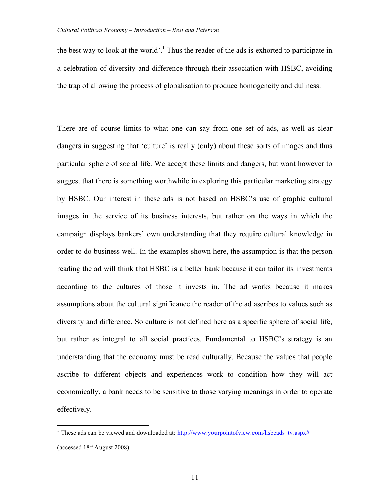the best way to look at the world'.<sup>1</sup> Thus the reader of the ads is exhorted to participate in a celebration of diversity and difference through their association with HSBC, avoiding the trap of allowing the process of globalisation to produce homogeneity and dullness.

There are of course limits to what one can say from one set of ads, as well as clear dangers in suggesting that 'culture' is really (only) about these sorts of images and thus particular sphere of social life. We accept these limits and dangers, but want however to suggest that there is something worthwhile in exploring this particular marketing strategy by HSBC. Our interest in these ads is not based on HSBC's use of graphic cultural images in the service of its business interests, but rather on the ways in which the campaign displays bankers' own understanding that they require cultural knowledge in order to do business well. In the examples shown here, the assumption is that the person reading the ad will think that HSBC is a better bank because it can tailor its investments according to the cultures of those it invests in. The ad works because it makes assumptions about the cultural significance the reader of the ad ascribes to values such as diversity and difference. So culture is not defined here as a specific sphere of social life, but rather as integral to all social practices. Fundamental to HSBC's strategy is an understanding that the economy must be read culturally. Because the values that people ascribe to different objects and experiences work to condition how they will act economically, a bank needs to be sensitive to those varying meanings in order to operate effectively.

<sup>&</sup>lt;sup>1</sup> These ads can be viewed and downloaded at: http://www.yourpointofview.com/hsbcads\_tv.aspx# (accessed  $18<sup>th</sup>$  August 2008).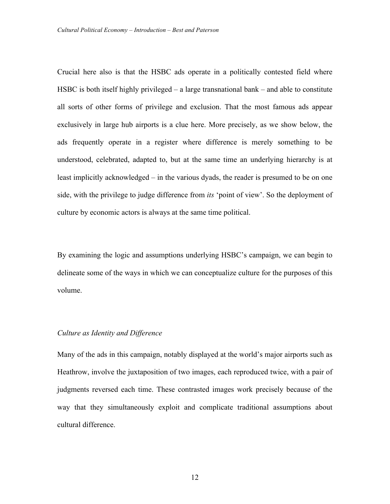Crucial here also is that the HSBC ads operate in a politically contested field where HSBC is both itself highly privileged – a large transnational bank – and able to constitute all sorts of other forms of privilege and exclusion. That the most famous ads appear exclusively in large hub airports is a clue here. More precisely, as we show below, the ads frequently operate in a register where difference is merely something to be understood, celebrated, adapted to, but at the same time an underlying hierarchy is at least implicitly acknowledged – in the various dyads, the reader is presumed to be on one side, with the privilege to judge difference from *its* 'point of view'. So the deployment of culture by economic actors is always at the same time political.

By examining the logic and assumptions underlying HSBC's campaign, we can begin to delineate some of the ways in which we can conceptualize culture for the purposes of this volume.

# *Culture as Identity and Difference*

Many of the ads in this campaign, notably displayed at the world's major airports such as Heathrow, involve the juxtaposition of two images, each reproduced twice, with a pair of judgments reversed each time. These contrasted images work precisely because of the way that they simultaneously exploit and complicate traditional assumptions about cultural difference.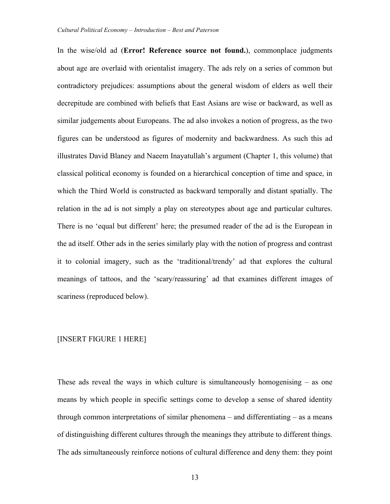In the wise/old ad (**Error! Reference source not found.**), commonplace judgments about age are overlaid with orientalist imagery. The ads rely on a series of common but contradictory prejudices: assumptions about the general wisdom of elders as well their decrepitude are combined with beliefs that East Asians are wise or backward, as well as similar judgements about Europeans. The ad also invokes a notion of progress, as the two figures can be understood as figures of modernity and backwardness. As such this ad illustrates David Blaney and Naeem Inayatullah's argument (Chapter 1, this volume) that classical political economy is founded on a hierarchical conception of time and space, in which the Third World is constructed as backward temporally and distant spatially. The relation in the ad is not simply a play on stereotypes about age and particular cultures. There is no 'equal but different' here; the presumed reader of the ad is the European in the ad itself. Other ads in the series similarly play with the notion of progress and contrast it to colonial imagery, such as the 'traditional/trendy' ad that explores the cultural meanings of tattoos, and the 'scary/reassuring' ad that examines different images of scariness (reproduced below).

# [INSERT FIGURE 1 HERE]

These ads reveal the ways in which culture is simultaneously homogenising – as one means by which people in specific settings come to develop a sense of shared identity through common interpretations of similar phenomena – and differentiating – as a means of distinguishing different cultures through the meanings they attribute to different things. The ads simultaneously reinforce notions of cultural difference and deny them: they point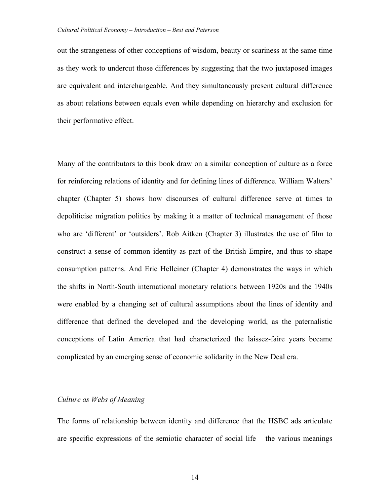out the strangeness of other conceptions of wisdom, beauty or scariness at the same time as they work to undercut those differences by suggesting that the two juxtaposed images are equivalent and interchangeable. And they simultaneously present cultural difference as about relations between equals even while depending on hierarchy and exclusion for their performative effect.

Many of the contributors to this book draw on a similar conception of culture as a force for reinforcing relations of identity and for defining lines of difference. William Walters' chapter (Chapter 5) shows how discourses of cultural difference serve at times to depoliticise migration politics by making it a matter of technical management of those who are 'different' or 'outsiders'. Rob Aitken (Chapter 3) illustrates the use of film to construct a sense of common identity as part of the British Empire, and thus to shape consumption patterns. And Eric Helleiner (Chapter 4) demonstrates the ways in which the shifts in North-South international monetary relations between 1920s and the 1940s were enabled by a changing set of cultural assumptions about the lines of identity and difference that defined the developed and the developing world, as the paternalistic conceptions of Latin America that had characterized the laissez-faire years became complicated by an emerging sense of economic solidarity in the New Deal era.

# *Culture as Webs of Meaning*

The forms of relationship between identity and difference that the HSBC ads articulate are specific expressions of the semiotic character of social life – the various meanings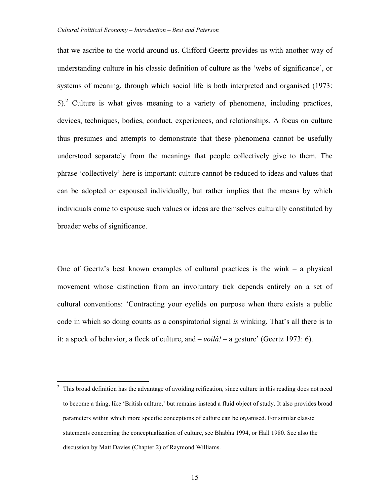that we ascribe to the world around us. Clifford Geertz provides us with another way of understanding culture in his classic definition of culture as the 'webs of significance', or systems of meaning, through which social life is both interpreted and organised (1973: 5).2 Culture is what gives meaning to a variety of phenomena, including practices, devices, techniques, bodies, conduct, experiences, and relationships. A focus on culture thus presumes and attempts to demonstrate that these phenomena cannot be usefully understood separately from the meanings that people collectively give to them. The phrase 'collectively' here is important: culture cannot be reduced to ideas and values that can be adopted or espoused individually, but rather implies that the means by which individuals come to espouse such values or ideas are themselves culturally constituted by broader webs of significance.

One of Geertz's best known examples of cultural practices is the wink – a physical movement whose distinction from an involuntary tick depends entirely on a set of cultural conventions: 'Contracting your eyelids on purpose when there exists a public code in which so doing counts as a conspiratorial signal *is* winking. That's all there is to it: a speck of behavior, a fleck of culture, and – *voilà! –* a gesture' (Geertz 1973: 6).

 <sup>2</sup> This broad definition has the advantage of avoiding reification, since culture in this reading does not need to become a thing, like 'British culture,' but remains instead a fluid object of study. It also provides broad parameters within which more specific conceptions of culture can be organised. For similar classic statements concerning the conceptualization of culture, see Bhabha 1994, or Hall 1980. See also the discussion by Matt Davies (Chapter 2) of Raymond Williams.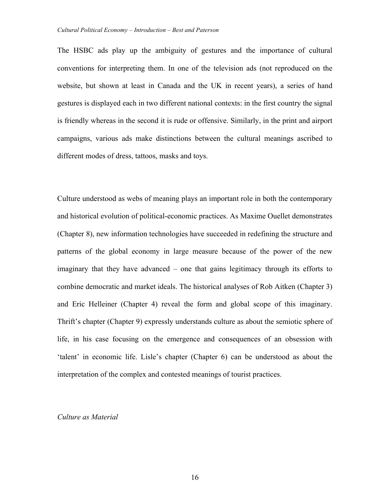The HSBC ads play up the ambiguity of gestures and the importance of cultural conventions for interpreting them. In one of the television ads (not reproduced on the website, but shown at least in Canada and the UK in recent years), a series of hand gestures is displayed each in two different national contexts: in the first country the signal is friendly whereas in the second it is rude or offensive. Similarly, in the print and airport campaigns, various ads make distinctions between the cultural meanings ascribed to different modes of dress, tattoos, masks and toys.

Culture understood as webs of meaning plays an important role in both the contemporary and historical evolution of political-economic practices. As Maxime Ouellet demonstrates (Chapter 8), new information technologies have succeeded in redefining the structure and patterns of the global economy in large measure because of the power of the new imaginary that they have advanced – one that gains legitimacy through its efforts to combine democratic and market ideals. The historical analyses of Rob Aitken (Chapter 3) and Eric Helleiner (Chapter 4) reveal the form and global scope of this imaginary. Thrift's chapter (Chapter 9) expressly understands culture as about the semiotic sphere of life, in his case focusing on the emergence and consequences of an obsession with 'talent' in economic life. Lisle's chapter (Chapter 6) can be understood as about the interpretation of the complex and contested meanings of tourist practices.

# *Culture as Material*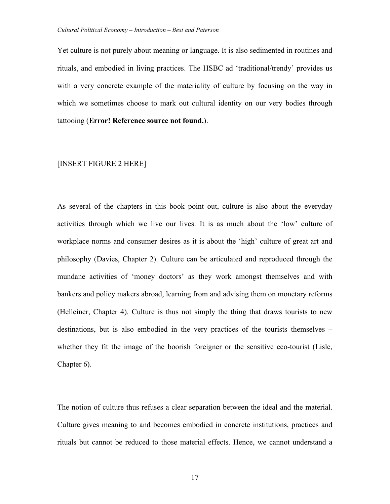Yet culture is not purely about meaning or language. It is also sedimented in routines and rituals, and embodied in living practices. The HSBC ad 'traditional/trendy' provides us with a very concrete example of the materiality of culture by focusing on the way in which we sometimes choose to mark out cultural identity on our very bodies through tattooing (**Error! Reference source not found.**).

### [INSERT FIGURE 2 HERE]

As several of the chapters in this book point out, culture is also about the everyday activities through which we live our lives. It is as much about the 'low' culture of workplace norms and consumer desires as it is about the 'high' culture of great art and philosophy (Davies, Chapter 2). Culture can be articulated and reproduced through the mundane activities of 'money doctors' as they work amongst themselves and with bankers and policy makers abroad, learning from and advising them on monetary reforms (Helleiner, Chapter 4). Culture is thus not simply the thing that draws tourists to new destinations, but is also embodied in the very practices of the tourists themselves – whether they fit the image of the boorish foreigner or the sensitive eco-tourist (Lisle, Chapter 6).

The notion of culture thus refuses a clear separation between the ideal and the material. Culture gives meaning to and becomes embodied in concrete institutions, practices and rituals but cannot be reduced to those material effects. Hence, we cannot understand a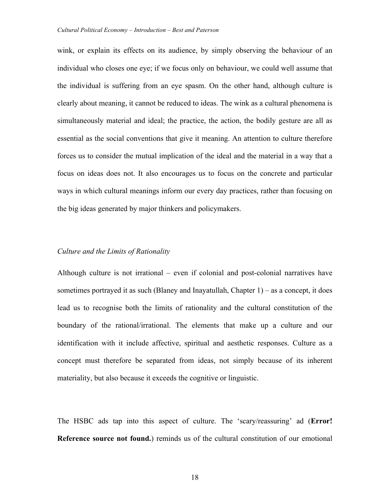wink, or explain its effects on its audience, by simply observing the behaviour of an individual who closes one eye; if we focus only on behaviour, we could well assume that the individual is suffering from an eye spasm. On the other hand, although culture is clearly about meaning, it cannot be reduced to ideas. The wink as a cultural phenomena is simultaneously material and ideal; the practice, the action, the bodily gesture are all as essential as the social conventions that give it meaning. An attention to culture therefore forces us to consider the mutual implication of the ideal and the material in a way that a focus on ideas does not. It also encourages us to focus on the concrete and particular ways in which cultural meanings inform our every day practices, rather than focusing on the big ideas generated by major thinkers and policymakers.

### *Culture and the Limits of Rationality*

Although culture is not irrational – even if colonial and post-colonial narratives have sometimes portrayed it as such (Blaney and Inayatullah, Chapter 1) – as a concept, it does lead us to recognise both the limits of rationality and the cultural constitution of the boundary of the rational/irrational. The elements that make up a culture and our identification with it include affective, spiritual and aesthetic responses. Culture as a concept must therefore be separated from ideas, not simply because of its inherent materiality, but also because it exceeds the cognitive or linguistic.

The HSBC ads tap into this aspect of culture. The 'scary/reassuring' ad (**Error! Reference source not found.**) reminds us of the cultural constitution of our emotional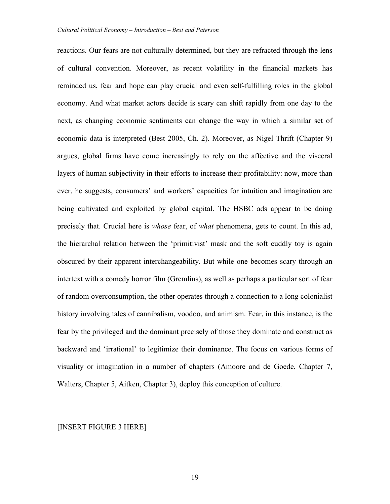reactions. Our fears are not culturally determined, but they are refracted through the lens of cultural convention. Moreover, as recent volatility in the financial markets has reminded us, fear and hope can play crucial and even self-fulfilling roles in the global economy. And what market actors decide is scary can shift rapidly from one day to the next, as changing economic sentiments can change the way in which a similar set of economic data is interpreted (Best 2005, Ch. 2). Moreover, as Nigel Thrift (Chapter 9) argues, global firms have come increasingly to rely on the affective and the visceral layers of human subjectivity in their efforts to increase their profitability: now, more than ever, he suggests, consumers' and workers' capacities for intuition and imagination are being cultivated and exploited by global capital. The HSBC ads appear to be doing precisely that. Crucial here is *whose* fear, of *what* phenomena, gets to count. In this ad, the hierarchal relation between the 'primitivist' mask and the soft cuddly toy is again obscured by their apparent interchangeability. But while one becomes scary through an intertext with a comedy horror film (Gremlins), as well as perhaps a particular sort of fear of random overconsumption, the other operates through a connection to a long colonialist history involving tales of cannibalism, voodoo, and animism. Fear, in this instance, is the fear by the privileged and the dominant precisely of those they dominate and construct as backward and 'irrational' to legitimize their dominance. The focus on various forms of visuality or imagination in a number of chapters (Amoore and de Goede, Chapter 7, Walters, Chapter 5, Aitken, Chapter 3), deploy this conception of culture.

# [INSERT FIGURE 3 HERE]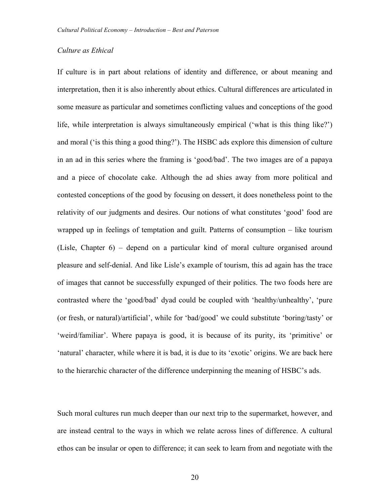# *Culture as Ethical*

If culture is in part about relations of identity and difference, or about meaning and interpretation, then it is also inherently about ethics. Cultural differences are articulated in some measure as particular and sometimes conflicting values and conceptions of the good life, while interpretation is always simultaneously empirical ('what is this thing like?') and moral ('is this thing a good thing?'). The HSBC ads explore this dimension of culture in an ad in this series where the framing is 'good/bad'. The two images are of a papaya and a piece of chocolate cake. Although the ad shies away from more political and contested conceptions of the good by focusing on dessert, it does nonetheless point to the relativity of our judgments and desires. Our notions of what constitutes 'good' food are wrapped up in feelings of temptation and guilt. Patterns of consumption – like tourism (Lisle, Chapter 6) – depend on a particular kind of moral culture organised around pleasure and self-denial. And like Lisle's example of tourism, this ad again has the trace of images that cannot be successfully expunged of their politics. The two foods here are contrasted where the 'good/bad' dyad could be coupled with 'healthy/unhealthy', 'pure (or fresh, or natural)/artificial', while for 'bad/good' we could substitute 'boring/tasty' or 'weird/familiar'. Where papaya is good, it is because of its purity, its 'primitive' or 'natural' character, while where it is bad, it is due to its 'exotic' origins. We are back here to the hierarchic character of the difference underpinning the meaning of HSBC's ads.

Such moral cultures run much deeper than our next trip to the supermarket, however, and are instead central to the ways in which we relate across lines of difference. A cultural ethos can be insular or open to difference; it can seek to learn from and negotiate with the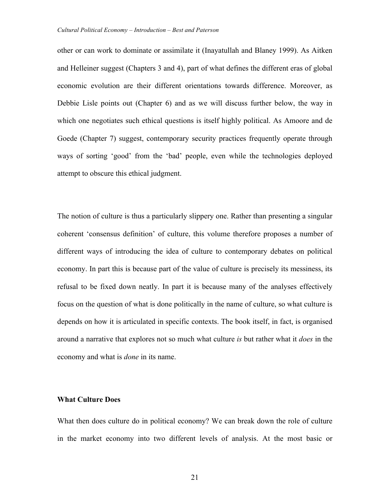other or can work to dominate or assimilate it (Inayatullah and Blaney 1999). As Aitken and Helleiner suggest (Chapters 3 and 4), part of what defines the different eras of global economic evolution are their different orientations towards difference. Moreover, as Debbie Lisle points out (Chapter 6) and as we will discuss further below, the way in which one negotiates such ethical questions is itself highly political. As Amoore and de Goede (Chapter 7) suggest, contemporary security practices frequently operate through ways of sorting 'good' from the 'bad' people, even while the technologies deployed attempt to obscure this ethical judgment.

The notion of culture is thus a particularly slippery one. Rather than presenting a singular coherent 'consensus definition' of culture, this volume therefore proposes a number of different ways of introducing the idea of culture to contemporary debates on political economy. In part this is because part of the value of culture is precisely its messiness, its refusal to be fixed down neatly. In part it is because many of the analyses effectively focus on the question of what is done politically in the name of culture, so what culture is depends on how it is articulated in specific contexts. The book itself, in fact, is organised around a narrative that explores not so much what culture *is* but rather what it *does* in the economy and what is *done* in its name.

### **What Culture Does**

What then does culture do in political economy? We can break down the role of culture in the market economy into two different levels of analysis. At the most basic or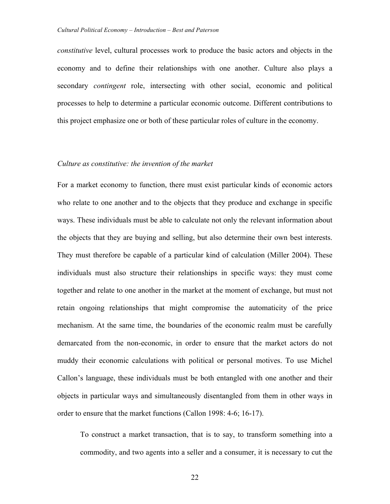*constitutive* level, cultural processes work to produce the basic actors and objects in the economy and to define their relationships with one another. Culture also plays a secondary *contingent* role, intersecting with other social, economic and political processes to help to determine a particular economic outcome. Different contributions to this project emphasize one or both of these particular roles of culture in the economy.

# *Culture as constitutive: the invention of the market*

For a market economy to function, there must exist particular kinds of economic actors who relate to one another and to the objects that they produce and exchange in specific ways. These individuals must be able to calculate not only the relevant information about the objects that they are buying and selling, but also determine their own best interests. They must therefore be capable of a particular kind of calculation (Miller 2004). These individuals must also structure their relationships in specific ways: they must come together and relate to one another in the market at the moment of exchange, but must not retain ongoing relationships that might compromise the automaticity of the price mechanism. At the same time, the boundaries of the economic realm must be carefully demarcated from the non-economic, in order to ensure that the market actors do not muddy their economic calculations with political or personal motives. To use Michel Callon's language, these individuals must be both entangled with one another and their objects in particular ways and simultaneously disentangled from them in other ways in order to ensure that the market functions (Callon 1998: 4-6; 16-17).

To construct a market transaction, that is to say, to transform something into a commodity, and two agents into a seller and a consumer, it is necessary to cut the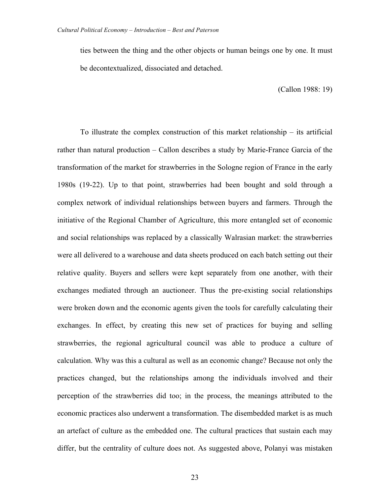ties between the thing and the other objects or human beings one by one. It must be decontextualized, dissociated and detached.

(Callon 1988: 19)

To illustrate the complex construction of this market relationship – its artificial rather than natural production – Callon describes a study by Marie-France Garcia of the transformation of the market for strawberries in the Sologne region of France in the early 1980s (19-22). Up to that point, strawberries had been bought and sold through a complex network of individual relationships between buyers and farmers. Through the initiative of the Regional Chamber of Agriculture, this more entangled set of economic and social relationships was replaced by a classically Walrasian market: the strawberries were all delivered to a warehouse and data sheets produced on each batch setting out their relative quality. Buyers and sellers were kept separately from one another, with their exchanges mediated through an auctioneer. Thus the pre-existing social relationships were broken down and the economic agents given the tools for carefully calculating their exchanges. In effect, by creating this new set of practices for buying and selling strawberries, the regional agricultural council was able to produce a culture of calculation. Why was this a cultural as well as an economic change? Because not only the practices changed, but the relationships among the individuals involved and their perception of the strawberries did too; in the process, the meanings attributed to the economic practices also underwent a transformation. The disembedded market is as much an artefact of culture as the embedded one. The cultural practices that sustain each may differ, but the centrality of culture does not. As suggested above, Polanyi was mistaken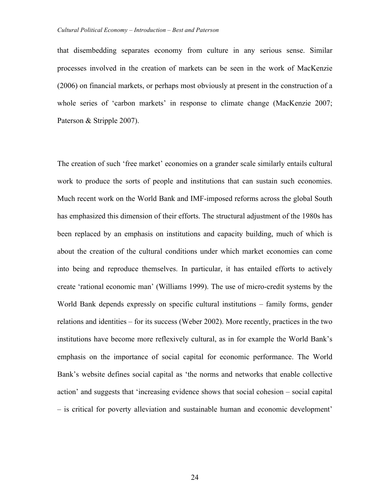that disembedding separates economy from culture in any serious sense. Similar processes involved in the creation of markets can be seen in the work of MacKenzie (2006) on financial markets, or perhaps most obviously at present in the construction of a whole series of 'carbon markets' in response to climate change (MacKenzie 2007; Paterson & Stripple 2007).

The creation of such 'free market' economies on a grander scale similarly entails cultural work to produce the sorts of people and institutions that can sustain such economies. Much recent work on the World Bank and IMF-imposed reforms across the global South has emphasized this dimension of their efforts. The structural adjustment of the 1980s has been replaced by an emphasis on institutions and capacity building, much of which is about the creation of the cultural conditions under which market economies can come into being and reproduce themselves. In particular, it has entailed efforts to actively create 'rational economic man' (Williams 1999). The use of micro-credit systems by the World Bank depends expressly on specific cultural institutions – family forms, gender relations and identities – for its success (Weber 2002). More recently, practices in the two institutions have become more reflexively cultural, as in for example the World Bank's emphasis on the importance of social capital for economic performance. The World Bank's website defines social capital as 'the norms and networks that enable collective action' and suggests that 'increasing evidence shows that social cohesion – social capital – is critical for poverty alleviation and sustainable human and economic development'

24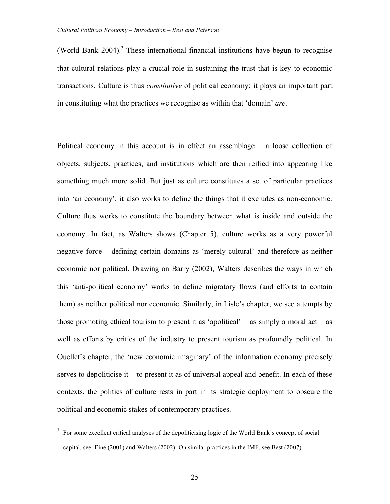(World Bank  $2004$ )<sup>3</sup>. These international financial institutions have begun to recognise that cultural relations play a crucial role in sustaining the trust that is key to economic transactions. Culture is thus *constitutive* of political economy; it plays an important part in constituting what the practices we recognise as within that 'domain' *are*.

Political economy in this account is in effect an assemblage – a loose collection of objects, subjects, practices, and institutions which are then reified into appearing like something much more solid. But just as culture constitutes a set of particular practices into 'an economy', it also works to define the things that it excludes as non-economic. Culture thus works to constitute the boundary between what is inside and outside the economy. In fact, as Walters shows (Chapter 5), culture works as a very powerful negative force – defining certain domains as 'merely cultural' and therefore as neither economic nor political. Drawing on Barry (2002), Walters describes the ways in which this 'anti-political economy' works to define migratory flows (and efforts to contain them) as neither political nor economic. Similarly, in Lisle's chapter, we see attempts by those promoting ethical tourism to present it as 'apolitical' – as simply a moral act – as well as efforts by critics of the industry to present tourism as profoundly political. In Ouellet's chapter, the 'new economic imaginary' of the information economy precisely serves to depoliticise it – to present it as of universal appeal and benefit. In each of these contexts, the politics of culture rests in part in its strategic deployment to obscure the political and economic stakes of contemporary practices.

<sup>&</sup>lt;sup>3</sup> For some excellent critical analyses of the depoliticising logic of the World Bank's concept of social capital, see: Fine (2001) and Walters (2002). On similar practices in the IMF, see Best (2007).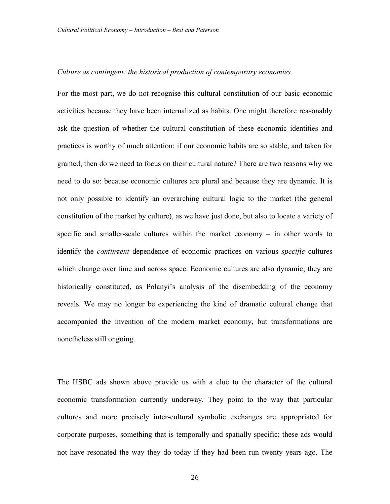### *Culture as contingent: the historical production of contemporary economies*

For the most part, we do not recognise this cultural constitution of our basic economic activities because they have been internalized as habits. One might therefore reasonably ask the question of whether the cultural constitution of these economic identities and practices is worthy of much attention: if our economic habits are so stable, and taken for granted, then do we need to focus on their cultural nature? There are two reasons why we need to do so: because economic cultures are plural and because they are dynamic. It is not only possible to identify an overarching cultural logic to the market (the general constitution of the market by culture), as we have just done, but also to locate a variety of specific and smaller-scale cultures within the market economy – in other words to identify the *contingent* dependence of economic practices on various *specific* cultures which change over time and across space. Economic cultures are also dynamic; they are historically constituted, as Polanyi's analysis of the disembedding of the economy reveals. We may no longer be experiencing the kind of dramatic cultural change that accompanied the invention of the modern market economy, but transformations are nonetheless still ongoing.

The HSBC ads shown above provide us with a clue to the character of the cultural economic transformation currently underway. They point to the way that particular cultures and more precisely inter-cultural symbolic exchanges are appropriated for corporate purposes, something that is temporally and spatially specific; these ads would not have resonated the way they do today if they had been run twenty years ago. The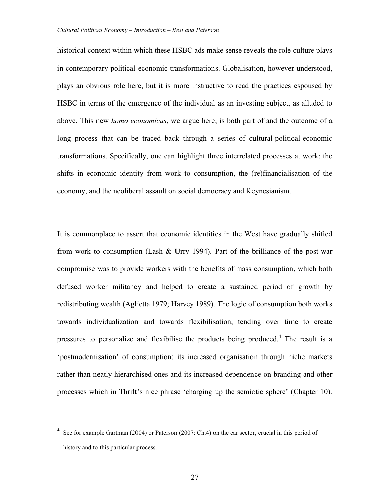historical context within which these HSBC ads make sense reveals the role culture plays in contemporary political-economic transformations. Globalisation, however understood, plays an obvious role here, but it is more instructive to read the practices espoused by HSBC in terms of the emergence of the individual as an investing subject, as alluded to above. This new *homo economicus*, we argue here, is both part of and the outcome of a long process that can be traced back through a series of cultural-political-economic transformations. Specifically, one can highlight three interrelated processes at work: the shifts in economic identity from work to consumption, the (re)financialisation of the economy, and the neoliberal assault on social democracy and Keynesianism.

It is commonplace to assert that economic identities in the West have gradually shifted from work to consumption (Lash & Urry 1994). Part of the brilliance of the post-war compromise was to provide workers with the benefits of mass consumption, which both defused worker militancy and helped to create a sustained period of growth by redistributing wealth (Aglietta 1979; Harvey 1989). The logic of consumption both works towards individualization and towards flexibilisation, tending over time to create pressures to personalize and flexibilise the products being produced.<sup>4</sup> The result is a 'postmodernisation' of consumption: its increased organisation through niche markets rather than neatly hierarchised ones and its increased dependence on branding and other processes which in Thrift's nice phrase 'charging up the semiotic sphere' (Chapter 10).

 $\overline{a}$ 

<sup>&</sup>lt;sup>4</sup> See for example Gartman (2004) or Paterson (2007: Ch.4) on the car sector, crucial in this period of history and to this particular process.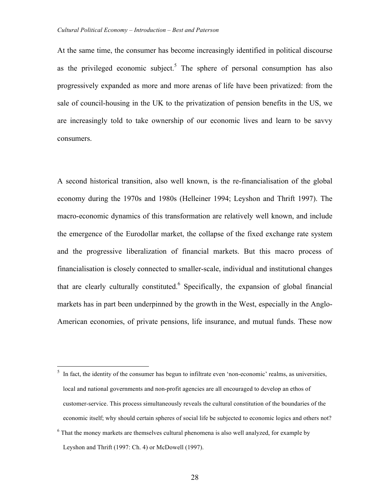At the same time, the consumer has become increasingly identified in political discourse as the privileged economic subject.<sup>5</sup> The sphere of personal consumption has also progressively expanded as more and more arenas of life have been privatized: from the sale of council-housing in the UK to the privatization of pension benefits in the US, we are increasingly told to take ownership of our economic lives and learn to be savvy consumers.

A second historical transition, also well known, is the re-financialisation of the global economy during the 1970s and 1980s (Helleiner 1994; Leyshon and Thrift 1997). The macro-economic dynamics of this transformation are relatively well known, and include the emergence of the Eurodollar market, the collapse of the fixed exchange rate system and the progressive liberalization of financial markets. But this macro process of financialisation is closely connected to smaller-scale, individual and institutional changes that are clearly culturally constituted.<sup>6</sup> Specifically, the expansion of global financial markets has in part been underpinned by the growth in the West, especially in the Anglo-American economies, of private pensions, life insurance, and mutual funds. These now

 $5\;$  In fact, the identity of the consumer has begun to infiltrate even 'non-economic' realms, as universities, local and national governments and non-profit agencies are all encouraged to develop an ethos of customer-service. This process simultaneously reveals the cultural constitution of the boundaries of the economic itself; why should certain spheres of social life be subjected to economic logics and others not?

 $6$  That the money markets are themselves cultural phenomena is also well analyzed, for example by Leyshon and Thrift (1997: Ch. 4) or McDowell (1997).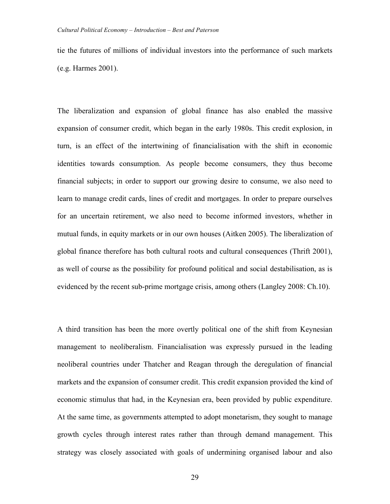tie the futures of millions of individual investors into the performance of such markets (e.g. Harmes 2001).

The liberalization and expansion of global finance has also enabled the massive expansion of consumer credit, which began in the early 1980s. This credit explosion, in turn, is an effect of the intertwining of financialisation with the shift in economic identities towards consumption. As people become consumers, they thus become financial subjects; in order to support our growing desire to consume, we also need to learn to manage credit cards, lines of credit and mortgages. In order to prepare ourselves for an uncertain retirement, we also need to become informed investors, whether in mutual funds, in equity markets or in our own houses (Aitken 2005). The liberalization of global finance therefore has both cultural roots and cultural consequences (Thrift 2001), as well of course as the possibility for profound political and social destabilisation, as is evidenced by the recent sub-prime mortgage crisis, among others (Langley 2008: Ch.10).

A third transition has been the more overtly political one of the shift from Keynesian management to neoliberalism. Financialisation was expressly pursued in the leading neoliberal countries under Thatcher and Reagan through the deregulation of financial markets and the expansion of consumer credit. This credit expansion provided the kind of economic stimulus that had, in the Keynesian era, been provided by public expenditure. At the same time, as governments attempted to adopt monetarism, they sought to manage growth cycles through interest rates rather than through demand management. This strategy was closely associated with goals of undermining organised labour and also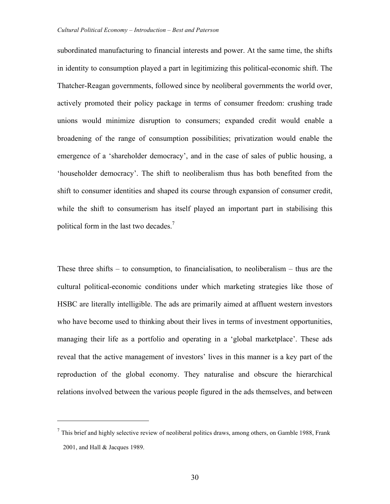subordinated manufacturing to financial interests and power. At the same time, the shifts in identity to consumption played a part in legitimizing this political-economic shift. The Thatcher-Reagan governments, followed since by neoliberal governments the world over, actively promoted their policy package in terms of consumer freedom: crushing trade unions would minimize disruption to consumers; expanded credit would enable a broadening of the range of consumption possibilities; privatization would enable the emergence of a 'shareholder democracy', and in the case of sales of public housing, a 'householder democracy'. The shift to neoliberalism thus has both benefited from the shift to consumer identities and shaped its course through expansion of consumer credit, while the shift to consumerism has itself played an important part in stabilising this political form in the last two decades.<sup>7</sup>

These three shifts – to consumption, to financialisation, to neoliberalism – thus are the cultural political-economic conditions under which marketing strategies like those of HSBC are literally intelligible. The ads are primarily aimed at affluent western investors who have become used to thinking about their lives in terms of investment opportunities, managing their life as a portfolio and operating in a 'global marketplace'. These ads reveal that the active management of investors' lives in this manner is a key part of the reproduction of the global economy. They naturalise and obscure the hierarchical relations involved between the various people figured in the ads themselves, and between

 $\overline{a}$ 

 $<sup>7</sup>$  This brief and highly selective review of neoliberal politics draws, among others, on Gamble 1988, Frank</sup> 2001, and Hall & Jacques 1989.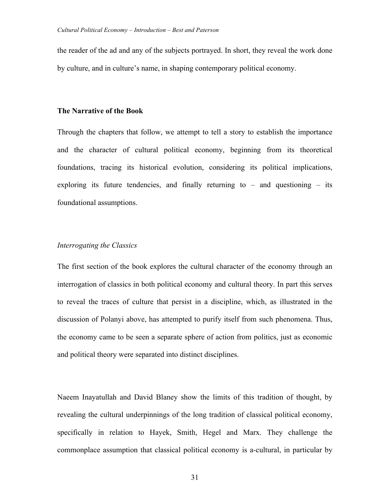the reader of the ad and any of the subjects portrayed. In short, they reveal the work done by culture, and in culture's name, in shaping contemporary political economy.

### **The Narrative of the Book**

Through the chapters that follow, we attempt to tell a story to establish the importance and the character of cultural political economy, beginning from its theoretical foundations, tracing its historical evolution, considering its political implications, exploring its future tendencies, and finally returning to  $-$  and questioning  $-$  its foundational assumptions.

# *Interrogating the Classics*

The first section of the book explores the cultural character of the economy through an interrogation of classics in both political economy and cultural theory. In part this serves to reveal the traces of culture that persist in a discipline, which, as illustrated in the discussion of Polanyi above, has attempted to purify itself from such phenomena. Thus, the economy came to be seen a separate sphere of action from politics, just as economic and political theory were separated into distinct disciplines.

Naeem Inayatullah and David Blaney show the limits of this tradition of thought, by revealing the cultural underpinnings of the long tradition of classical political economy, specifically in relation to Hayek, Smith, Hegel and Marx. They challenge the commonplace assumption that classical political economy is a-cultural, in particular by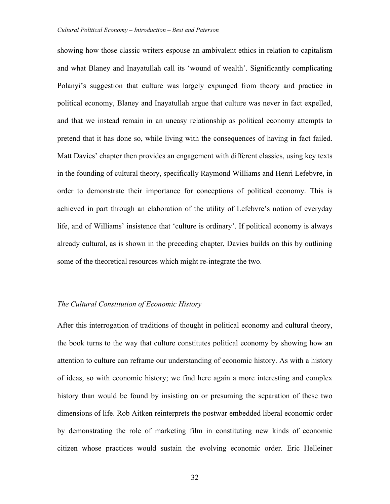showing how those classic writers espouse an ambivalent ethics in relation to capitalism and what Blaney and Inayatullah call its 'wound of wealth'. Significantly complicating Polanyi's suggestion that culture was largely expunged from theory and practice in political economy, Blaney and Inayatullah argue that culture was never in fact expelled, and that we instead remain in an uneasy relationship as political economy attempts to pretend that it has done so, while living with the consequences of having in fact failed. Matt Davies' chapter then provides an engagement with different classics, using key texts in the founding of cultural theory, specifically Raymond Williams and Henri Lefebvre, in order to demonstrate their importance for conceptions of political economy. This is achieved in part through an elaboration of the utility of Lefebvre's notion of everyday life, and of Williams' insistence that 'culture is ordinary'. If political economy is always already cultural, as is shown in the preceding chapter, Davies builds on this by outlining some of the theoretical resources which might re-integrate the two.

### *The Cultural Constitution of Economic History*

After this interrogation of traditions of thought in political economy and cultural theory, the book turns to the way that culture constitutes political economy by showing how an attention to culture can reframe our understanding of economic history. As with a history of ideas, so with economic history; we find here again a more interesting and complex history than would be found by insisting on or presuming the separation of these two dimensions of life. Rob Aitken reinterprets the postwar embedded liberal economic order by demonstrating the role of marketing film in constituting new kinds of economic citizen whose practices would sustain the evolving economic order. Eric Helleiner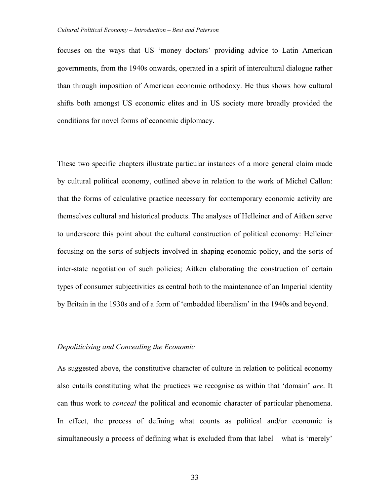focuses on the ways that US 'money doctors' providing advice to Latin American governments, from the 1940s onwards, operated in a spirit of intercultural dialogue rather than through imposition of American economic orthodoxy. He thus shows how cultural shifts both amongst US economic elites and in US society more broadly provided the conditions for novel forms of economic diplomacy.

These two specific chapters illustrate particular instances of a more general claim made by cultural political economy, outlined above in relation to the work of Michel Callon: that the forms of calculative practice necessary for contemporary economic activity are themselves cultural and historical products. The analyses of Helleiner and of Aitken serve to underscore this point about the cultural construction of political economy: Helleiner focusing on the sorts of subjects involved in shaping economic policy, and the sorts of inter-state negotiation of such policies; Aitken elaborating the construction of certain types of consumer subjectivities as central both to the maintenance of an Imperial identity by Britain in the 1930s and of a form of 'embedded liberalism' in the 1940s and beyond.

### *Depoliticising and Concealing the Economic*

As suggested above, the constitutive character of culture in relation to political economy also entails constituting what the practices we recognise as within that 'domain' *are*. It can thus work to *conceal* the political and economic character of particular phenomena. In effect, the process of defining what counts as political and/or economic is simultaneously a process of defining what is excluded from that label – what is 'merely'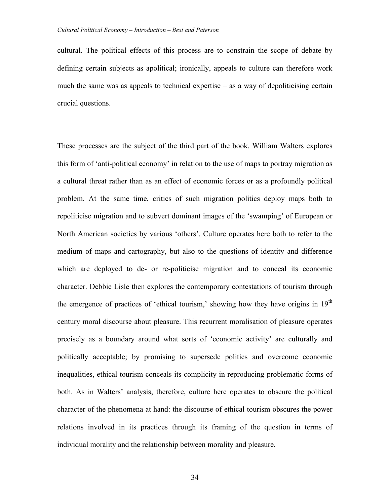cultural. The political effects of this process are to constrain the scope of debate by defining certain subjects as apolitical; ironically, appeals to culture can therefore work much the same was as appeals to technical expertise – as a way of depoliticising certain crucial questions.

These processes are the subject of the third part of the book. William Walters explores this form of 'anti-political economy' in relation to the use of maps to portray migration as a cultural threat rather than as an effect of economic forces or as a profoundly political problem. At the same time, critics of such migration politics deploy maps both to repoliticise migration and to subvert dominant images of the 'swamping' of European or North American societies by various 'others'. Culture operates here both to refer to the medium of maps and cartography, but also to the questions of identity and difference which are deployed to de- or re-politicise migration and to conceal its economic character. Debbie Lisle then explores the contemporary contestations of tourism through the emergence of practices of 'ethical tourism,' showing how they have origins in  $19<sup>th</sup>$ century moral discourse about pleasure. This recurrent moralisation of pleasure operates precisely as a boundary around what sorts of 'economic activity' are culturally and politically acceptable; by promising to supersede politics and overcome economic inequalities, ethical tourism conceals its complicity in reproducing problematic forms of both. As in Walters' analysis, therefore, culture here operates to obscure the political character of the phenomena at hand: the discourse of ethical tourism obscures the power relations involved in its practices through its framing of the question in terms of individual morality and the relationship between morality and pleasure.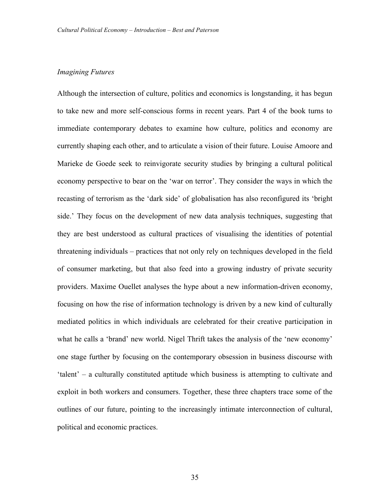### *Imagining Futures*

Although the intersection of culture, politics and economics is longstanding, it has begun to take new and more self-conscious forms in recent years. Part 4 of the book turns to immediate contemporary debates to examine how culture, politics and economy are currently shaping each other, and to articulate a vision of their future. Louise Amoore and Marieke de Goede seek to reinvigorate security studies by bringing a cultural political economy perspective to bear on the 'war on terror'. They consider the ways in which the recasting of terrorism as the 'dark side' of globalisation has also reconfigured its 'bright side.' They focus on the development of new data analysis techniques, suggesting that they are best understood as cultural practices of visualising the identities of potential threatening individuals – practices that not only rely on techniques developed in the field of consumer marketing, but that also feed into a growing industry of private security providers. Maxime Ouellet analyses the hype about a new information-driven economy, focusing on how the rise of information technology is driven by a new kind of culturally mediated politics in which individuals are celebrated for their creative participation in what he calls a 'brand' new world. Nigel Thrift takes the analysis of the 'new economy' one stage further by focusing on the contemporary obsession in business discourse with 'talent' – a culturally constituted aptitude which business is attempting to cultivate and exploit in both workers and consumers. Together, these three chapters trace some of the outlines of our future, pointing to the increasingly intimate interconnection of cultural, political and economic practices.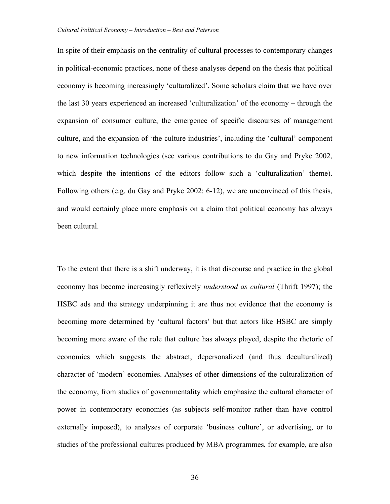In spite of their emphasis on the centrality of cultural processes to contemporary changes in political-economic practices, none of these analyses depend on the thesis that political economy is becoming increasingly 'culturalized'. Some scholars claim that we have over the last 30 years experienced an increased 'culturalization' of the economy – through the expansion of consumer culture, the emergence of specific discourses of management culture, and the expansion of 'the culture industries', including the 'cultural' component to new information technologies (see various contributions to du Gay and Pryke 2002, which despite the intentions of the editors follow such a 'culturalization' theme). Following others (e.g. du Gay and Pryke 2002: 6-12), we are unconvinced of this thesis, and would certainly place more emphasis on a claim that political economy has always been cultural.

To the extent that there is a shift underway, it is that discourse and practice in the global economy has become increasingly reflexively *understood as cultural* (Thrift 1997); the HSBC ads and the strategy underpinning it are thus not evidence that the economy is becoming more determined by 'cultural factors' but that actors like HSBC are simply becoming more aware of the role that culture has always played, despite the rhetoric of economics which suggests the abstract, depersonalized (and thus deculturalized) character of 'modern' economies. Analyses of other dimensions of the culturalization of the economy, from studies of governmentality which emphasize the cultural character of power in contemporary economies (as subjects self-monitor rather than have control externally imposed), to analyses of corporate 'business culture', or advertising, or to studies of the professional cultures produced by MBA programmes, for example, are also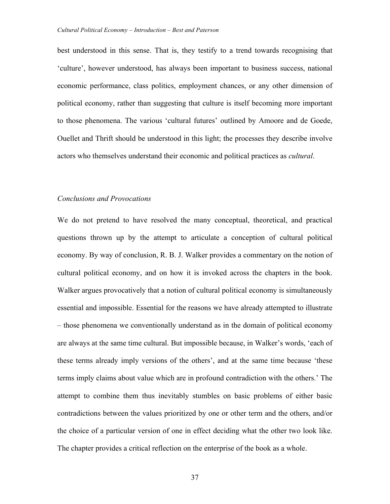best understood in this sense. That is, they testify to a trend towards recognising that 'culture', however understood, has always been important to business success, national economic performance, class politics, employment chances, or any other dimension of political economy, rather than suggesting that culture is itself becoming more important to those phenomena. The various 'cultural futures' outlined by Amoore and de Goede, Ouellet and Thrift should be understood in this light; the processes they describe involve actors who themselves understand their economic and political practices as *cultural*.

### *Conclusions and Provocations*

We do not pretend to have resolved the many conceptual, theoretical, and practical questions thrown up by the attempt to articulate a conception of cultural political economy. By way of conclusion, R. B. J. Walker provides a commentary on the notion of cultural political economy, and on how it is invoked across the chapters in the book. Walker argues provocatively that a notion of cultural political economy is simultaneously essential and impossible. Essential for the reasons we have already attempted to illustrate – those phenomena we conventionally understand as in the domain of political economy are always at the same time cultural. But impossible because, in Walker's words, 'each of these terms already imply versions of the others', and at the same time because 'these terms imply claims about value which are in profound contradiction with the others.' The attempt to combine them thus inevitably stumbles on basic problems of either basic contradictions between the values prioritized by one or other term and the others, and/or the choice of a particular version of one in effect deciding what the other two look like. The chapter provides a critical reflection on the enterprise of the book as a whole.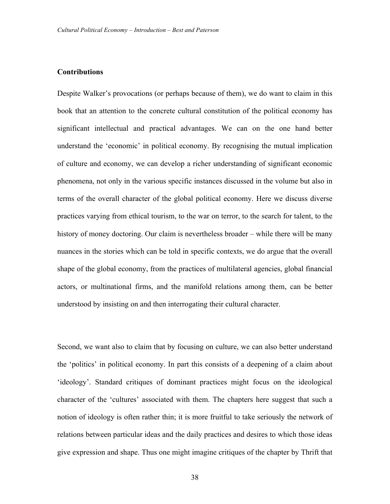# **Contributions**

Despite Walker's provocations (or perhaps because of them), we do want to claim in this book that an attention to the concrete cultural constitution of the political economy has significant intellectual and practical advantages. We can on the one hand better understand the 'economic' in political economy. By recognising the mutual implication of culture and economy, we can develop a richer understanding of significant economic phenomena, not only in the various specific instances discussed in the volume but also in terms of the overall character of the global political economy. Here we discuss diverse practices varying from ethical tourism, to the war on terror, to the search for talent, to the history of money doctoring. Our claim is nevertheless broader – while there will be many nuances in the stories which can be told in specific contexts, we do argue that the overall shape of the global economy, from the practices of multilateral agencies, global financial actors, or multinational firms, and the manifold relations among them, can be better understood by insisting on and then interrogating their cultural character.

Second, we want also to claim that by focusing on culture, we can also better understand the 'politics' in political economy. In part this consists of a deepening of a claim about 'ideology'. Standard critiques of dominant practices might focus on the ideological character of the 'cultures' associated with them. The chapters here suggest that such a notion of ideology is often rather thin; it is more fruitful to take seriously the network of relations between particular ideas and the daily practices and desires to which those ideas give expression and shape. Thus one might imagine critiques of the chapter by Thrift that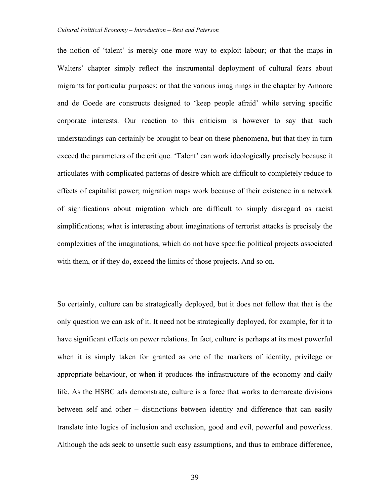the notion of 'talent' is merely one more way to exploit labour; or that the maps in Walters' chapter simply reflect the instrumental deployment of cultural fears about migrants for particular purposes; or that the various imaginings in the chapter by Amoore and de Goede are constructs designed to 'keep people afraid' while serving specific corporate interests. Our reaction to this criticism is however to say that such understandings can certainly be brought to bear on these phenomena, but that they in turn exceed the parameters of the critique. 'Talent' can work ideologically precisely because it articulates with complicated patterns of desire which are difficult to completely reduce to effects of capitalist power; migration maps work because of their existence in a network of significations about migration which are difficult to simply disregard as racist simplifications; what is interesting about imaginations of terrorist attacks is precisely the complexities of the imaginations, which do not have specific political projects associated with them, or if they do, exceed the limits of those projects. And so on.

So certainly, culture can be strategically deployed, but it does not follow that that is the only question we can ask of it. It need not be strategically deployed, for example, for it to have significant effects on power relations. In fact, culture is perhaps at its most powerful when it is simply taken for granted as one of the markers of identity, privilege or appropriate behaviour, or when it produces the infrastructure of the economy and daily life. As the HSBC ads demonstrate, culture is a force that works to demarcate divisions between self and other – distinctions between identity and difference that can easily translate into logics of inclusion and exclusion, good and evil, powerful and powerless. Although the ads seek to unsettle such easy assumptions, and thus to embrace difference,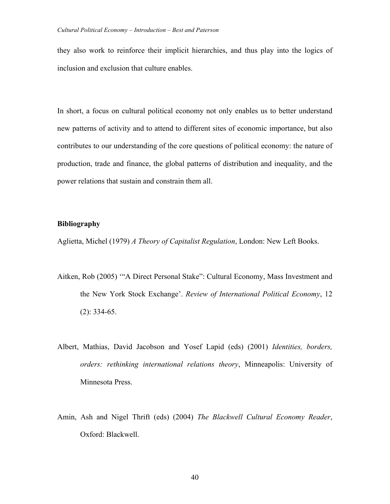they also work to reinforce their implicit hierarchies, and thus play into the logics of inclusion and exclusion that culture enables.

In short, a focus on cultural political economy not only enables us to better understand new patterns of activity and to attend to different sites of economic importance, but also contributes to our understanding of the core questions of political economy: the nature of production, trade and finance, the global patterns of distribution and inequality, and the power relations that sustain and constrain them all.

# **Bibliography**

Aglietta, Michel (1979) *A Theory of Capitalist Regulation*, London: New Left Books.

- Aitken, Rob (2005) '"A Direct Personal Stake": Cultural Economy, Mass Investment and the New York Stock Exchange'. *Review of International Political Economy*, 12 (2): 334-65.
- Albert, Mathias, David Jacobson and Yosef Lapid (eds) (2001) *Identities, borders, orders: rethinking international relations theory*, Minneapolis: University of Minnesota Press.
- Amin, Ash and Nigel Thrift (eds) (2004) *The Blackwell Cultural Economy Reader*, Oxford: Blackwell.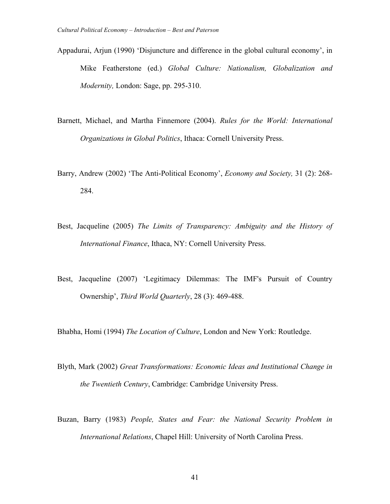- Appadurai, Arjun (1990) 'Disjuncture and difference in the global cultural economy', in Mike Featherstone (ed.) *Global Culture: Nationalism, Globalization and Modernity,* London: Sage, pp. 295-310.
- Barnett, Michael, and Martha Finnemore (2004). *Rules for the World: International Organizations in Global Politics*, Ithaca: Cornell University Press.
- Barry, Andrew (2002) 'The Anti-Political Economy', *Economy and Society,* 31 (2): 268- 284.
- Best, Jacqueline (2005) *The Limits of Transparency: Ambiguity and the History of International Finance*, Ithaca, NY: Cornell University Press.
- Best, Jacqueline (2007) 'Legitimacy Dilemmas: The IMF's Pursuit of Country Ownership', *Third World Quarterly*, 28 (3): 469-488.

Bhabha, Homi (1994) *The Location of Culture*, London and New York: Routledge.

- Blyth, Mark (2002) *Great Transformations: Economic Ideas and Institutional Change in the Twentieth Century*, Cambridge: Cambridge University Press.
- Buzan, Barry (1983) *People, States and Fear: the National Security Problem in International Relations*, Chapel Hill: University of North Carolina Press.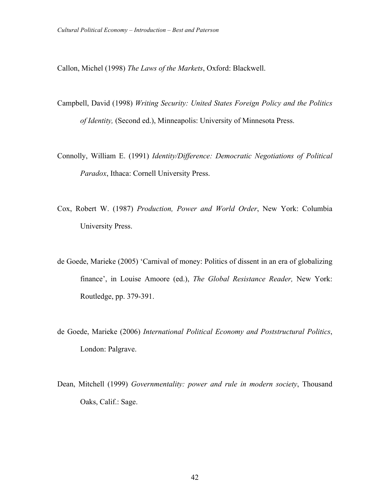Callon, Michel (1998) *The Laws of the Markets*, Oxford: Blackwell.

- Campbell, David (1998) *Writing Security: United States Foreign Policy and the Politics of Identity,* (Second ed.), Minneapolis: University of Minnesota Press.
- Connolly, William E. (1991) *Identity/Difference: Democratic Negotiations of Political Paradox*, Ithaca: Cornell University Press.
- Cox, Robert W. (1987) *Production, Power and World Order*, New York: Columbia University Press.
- de Goede, Marieke (2005) 'Carnival of money: Politics of dissent in an era of globalizing finance', in Louise Amoore (ed.), *The Global Resistance Reader,* New York: Routledge, pp. 379-391.
- de Goede, Marieke (2006) *International Political Economy and Poststructural Politics*, London: Palgrave.
- Dean, Mitchell (1999) *Governmentality: power and rule in modern society*, Thousand Oaks, Calif.: Sage.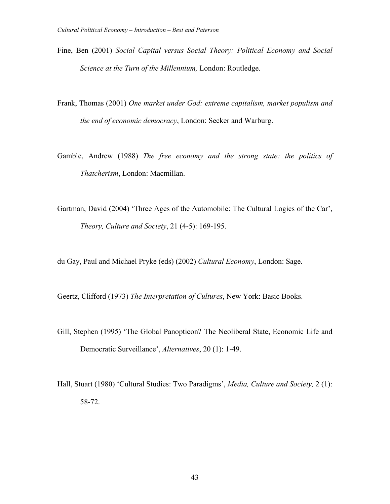- Fine, Ben (2001) *Social Capital versus Social Theory: Political Economy and Social Science at the Turn of the Millennium,* London: Routledge.
- Frank, Thomas (2001) *One market under God: extreme capitalism, market populism and the end of economic democracy*, London: Secker and Warburg.
- Gamble, Andrew (1988) *The free economy and the strong state: the politics of Thatcherism*, London: Macmillan.
- Gartman, David (2004) 'Three Ages of the Automobile: The Cultural Logics of the Car', *Theory, Culture and Society*, 21 (4-5): 169-195.

du Gay, Paul and Michael Pryke (eds) (2002) *Cultural Economy*, London: Sage.

Geertz, Clifford (1973) *The Interpretation of Cultures*, New York: Basic Books.

- Gill, Stephen (1995) 'The Global Panopticon? The Neoliberal State, Economic Life and Democratic Surveillance', *Alternatives*, 20 (1): 1-49.
- Hall, Stuart (1980) 'Cultural Studies: Two Paradigms', *Media, Culture and Society,* 2 (1): 58-72.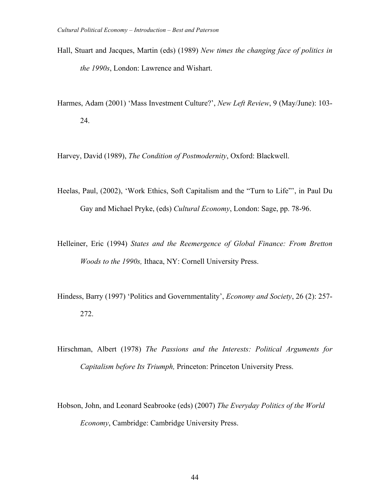- Hall, Stuart and Jacques, Martin (eds) (1989) *New times the changing face of politics in the 1990s*, London: Lawrence and Wishart.
- Harmes, Adam (2001) 'Mass Investment Culture?', *New Left Review*, 9 (May/June): 103- 24.

Harvey, David (1989), *The Condition of Postmodernity*, Oxford: Blackwell.

- Heelas, Paul, (2002), 'Work Ethics, Soft Capitalism and the "Turn to Life"', in Paul Du Gay and Michael Pryke, (eds) *Cultural Economy*, London: Sage, pp. 78-96.
- Helleiner, Eric (1994) *States and the Reemergence of Global Finance: From Bretton Woods to the 1990s,* Ithaca, NY: Cornell University Press.
- Hindess, Barry (1997) 'Politics and Governmentality', *Economy and Society*, 26 (2): 257- 272.
- Hirschman, Albert (1978) *The Passions and the Interests: Political Arguments for Capitalism before Its Triumph,* Princeton: Princeton University Press.
- Hobson, John, and Leonard Seabrooke (eds) (2007) *The Everyday Politics of the World Economy*, Cambridge: Cambridge University Press.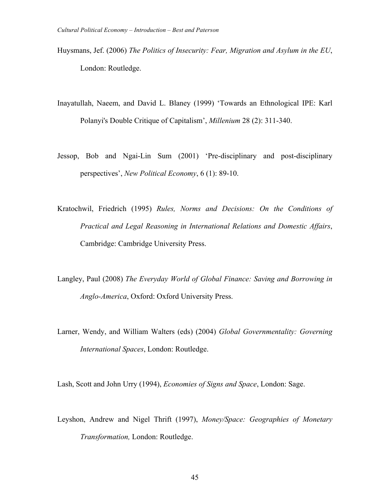- Huysmans, Jef. (2006) *The Politics of Insecurity: Fear, Migration and Asylum in the EU*, London: Routledge.
- Inayatullah, Naeem, and David L. Blaney (1999) 'Towards an Ethnological IPE: Karl Polanyi's Double Critique of Capitalism', *Millenium* 28 (2): 311-340.
- Jessop, Bob and Ngai-Lin Sum (2001) 'Pre-disciplinary and post-disciplinary perspectives', *New Political Economy*, 6 (1): 89-10.
- Kratochwil, Friedrich (1995) *Rules, Norms and Decisions: On the Conditions of Practical and Legal Reasoning in International Relations and Domestic Affairs*, Cambridge: Cambridge University Press.
- Langley, Paul (2008) *The Everyday World of Global Finance: Saving and Borrowing in Anglo-America*, Oxford: Oxford University Press.
- Larner, Wendy, and William Walters (eds) (2004) *Global Governmentality: Governing International Spaces*, London: Routledge.

Lash, Scott and John Urry (1994), *Economies of Signs and Space*, London: Sage.

Leyshon, Andrew and Nigel Thrift (1997), *Money/Space: Geographies of Monetary Transformation,* London: Routledge.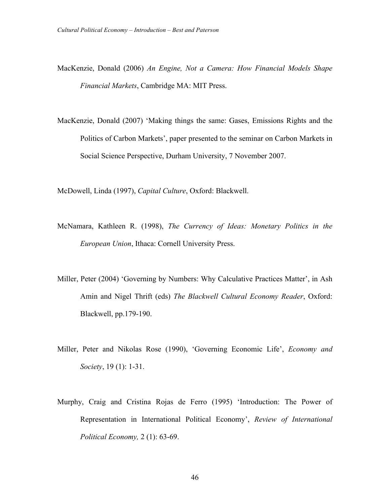- MacKenzie, Donald (2006) *An Engine, Not a Camera: How Financial Models Shape Financial Markets*, Cambridge MA: MIT Press.
- MacKenzie, Donald (2007) 'Making things the same: Gases, Emissions Rights and the Politics of Carbon Markets', paper presented to the seminar on Carbon Markets in Social Science Perspective, Durham University, 7 November 2007.

McDowell, Linda (1997), *Capital Culture*, Oxford: Blackwell.

- McNamara, Kathleen R. (1998), *The Currency of Ideas: Monetary Politics in the European Union*, Ithaca: Cornell University Press.
- Miller, Peter (2004) 'Governing by Numbers: Why Calculative Practices Matter', in Ash Amin and Nigel Thrift (eds) *The Blackwell Cultural Economy Reader*, Oxford: Blackwell, pp.179-190.
- Miller, Peter and Nikolas Rose (1990), 'Governing Economic Life', *Economy and Society*, 19 (1): 1-31.
- Murphy, Craig and Cristina Rojas de Ferro (1995) 'Introduction: The Power of Representation in International Political Economy', *Review of International Political Economy,* 2 (1): 63-69.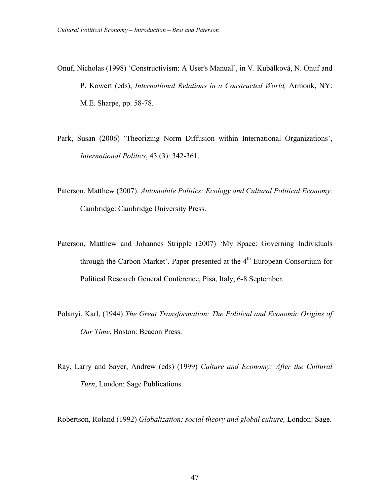- Onuf, Nicholas (1998) 'Constructivism: A User's Manual', in V. Kubálková, N. Onuf and P. Kowert (eds), *International Relations in a Constructed World,* Armonk, NY: M.E. Sharpe, pp. 58-78.
- Park, Susan (2006) 'Theorizing Norm Diffusion within International Organizations', *International Politics*, 43 (3): 342-361.
- Paterson, Matthew (2007). *Automobile Politics: Ecology and Cultural Political Economy,* Cambridge: Cambridge University Press.
- Paterson, Matthew and Johannes Stripple (2007) 'My Space: Governing Individuals through the Carbon Market'. Paper presented at the  $4<sup>th</sup>$  European Consortium for Political Research General Conference, Pisa, Italy, 6-8 September.
- Polanyi, Karl, (1944) *The Great Transformation: The Political and Economic Origins of Our Time*, Boston: Beacon Press.
- Ray, Larry and Sayer, Andrew (eds) (1999) *Culture and Economy: After the Cultural Turn*, London: Sage Publications.

Robertson, Roland (1992) *Globalization: social theory and global culture,* London: Sage.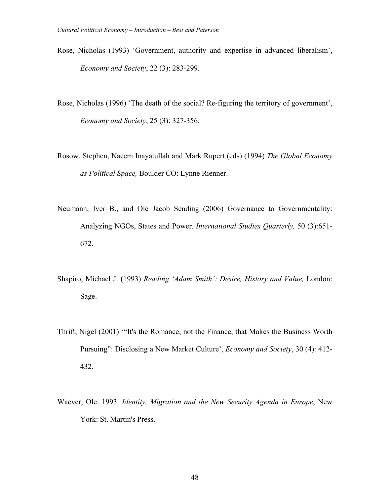- Rose, Nicholas (1993) 'Government, authority and expertise in advanced liberalism', *Economy and Society*, 22 (3): 283-299.
- Rose, Nicholas (1996) 'The death of the social? Re-figuring the territory of government', *Economy and Society*, 25 (3): 327-356.
- Rosow, Stephen, Naeem Inayatullah and Mark Rupert (eds) (1994) *The Global Economy as Political Space,* Boulder CO: Lynne Rienner.
- Neumann, Iver B., and Ole Jacob Sending (2006) Governance to Governmentality: Analyzing NGOs, States and Power. *International Studies Quarterly,* 50 (3):651- 672.
- Shapiro, Michael J. (1993) *Reading 'Adam Smith': Desire, History and Value,* London: Sage.
- Thrift, Nigel (2001) '"It's the Romance, not the Finance, that Makes the Business Worth Pursuing": Disclosing a New Market Culture', *Economy and Society*, 30 (4): 412- 432.
- Waever, Ole. 1993. *Identity, Migration and the New Security Agenda in Europe*, New York: St. Martin's Press.